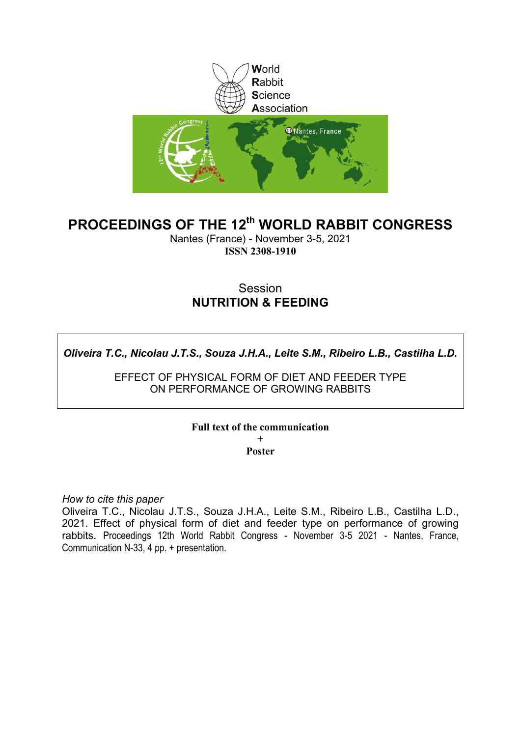

# **PROCEEDINGS OF THE 12th WORLD RABBIT CONGRESS**

Nantes (France) - November 3-5, 2021 **ISSN 2308-1910**

## Session **NUTRITION & FEEDING**

*Oliveira T.C., Nicolau J.T.S., Souza J.H.A., Leite S.M., Ribeiro L.B., Castilha L.D.*

EFFECT OF PHYSICAL FORM OF DIET AND FEEDER TYPE ON PERFORMANCE OF GROWING RABBITS

## **Full text of the communication**

**+ Poster**

*How to cite this paper*

Oliveira T.C., Nicolau J.T.S., Souza J.H.A., Leite S.M., Ribeiro L.B., Castilha L.D., 2021. Effect of physical form of diet and feeder type on performance of growing rabbits. Proceedings 12th World Rabbit Congress - November 3-5 2021 - Nantes, France, Communication N-33, 4 pp. + presentation.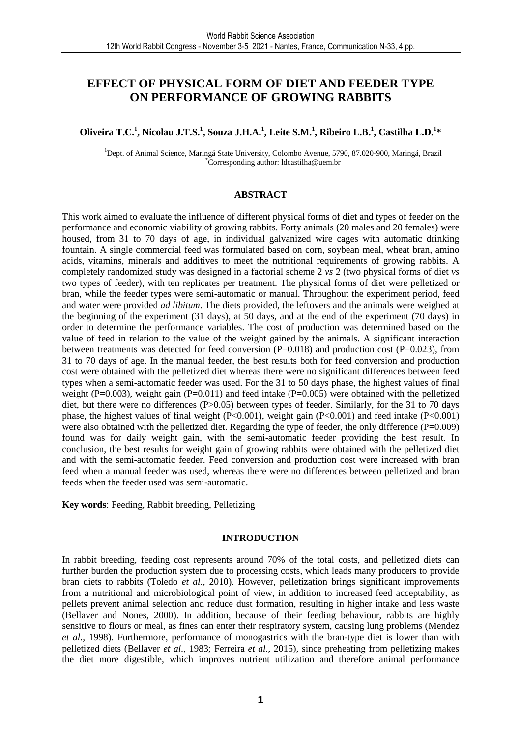## **EFFECT OF PHYSICAL FORM OF DIET AND FEEDER TYPE ON PERFORMANCE OF GROWING RABBITS**

### **Oliveira T.C.<sup>1</sup> , Nicolau J.T.S.<sup>1</sup> , Souza J.H.A.<sup>1</sup> , Leite S.M.<sup>1</sup> , Ribeiro L.B.<sup>1</sup> , Castilha L.D.<sup>1</sup> \***

<sup>1</sup>Dept. of Animal Science, Maringá State University, Colombo Avenue, 5790, 87.020-900, Maringá, Brazil \*Corresponding author: ldcastilha@uem.br

#### **ABSTRACT**

This work aimed to evaluate the influence of different physical forms of diet and types of feeder on the performance and economic viability of growing rabbits. Forty animals (20 males and 20 females) were housed, from 31 to 70 days of age, in individual galvanized wire cages with automatic drinking fountain. A single commercial feed was formulated based on corn, soybean meal, wheat bran, amino acids, vitamins, minerals and additives to meet the nutritional requirements of growing rabbits. A completely randomized study was designed in a factorial scheme 2 *vs* 2 (two physical forms of diet *vs* two types of feeder), with ten replicates per treatment. The physical forms of diet were pelletized or bran, while the feeder types were semi-automatic or manual. Throughout the experiment period, feed and water were provided *ad libitum*. The diets provided, the leftovers and the animals were weighed at the beginning of the experiment (31 days), at 50 days, and at the end of the experiment (70 days) in order to determine the performance variables. The cost of production was determined based on the value of feed in relation to the value of the weight gained by the animals. A significant interaction between treatments was detected for feed conversion ( $P=0.018$ ) and production cost ( $P=0.023$ ), from 31 to 70 days of age. In the manual feeder, the best results both for feed conversion and production cost were obtained with the pelletized diet whereas there were no significant differences between feed types when a semi-automatic feeder was used. For the 31 to 50 days phase, the highest values of final weight (P=0.003), weight gain (P=0.011) and feed intake (P=0.005) were obtained with the pelletized diet, but there were no differences (P>0.05) between types of feeder. Similarly, for the 31 to 70 days phase, the highest values of final weight (P<0.001), weight gain (P<0.001) and feed intake (P<0.001) were also obtained with the pelletized diet. Regarding the type of feeder, the only difference  $(P=0.009)$ found was for daily weight gain, with the semi-automatic feeder providing the best result. In conclusion, the best results for weight gain of growing rabbits were obtained with the pelletized diet and with the semi-automatic feeder. Feed conversion and production cost were increased with bran feed when a manual feeder was used, whereas there were no differences between pelletized and bran feeds when the feeder used was semi-automatic.

**Key words**: Feeding, Rabbit breeding, Pelletizing

#### **INTRODUCTION**

In rabbit breeding, feeding cost represents around 70% of the total costs, and pelletized diets can further burden the production system due to processing costs, which leads many producers to provide bran diets to rabbits (Toledo *et al.*, 2010). However, pelletization brings significant improvements from a nutritional and microbiological point of view, in addition to increased feed acceptability, as pellets prevent animal selection and reduce dust formation, resulting in higher intake and less waste (Bellaver and Nones, 2000). In addition, because of their feeding behaviour, rabbits are highly sensitive to flours or meal, as fines can enter their respiratory system, causing lung problems (Mendez *et al.*, 1998). Furthermore, performance of monogastrics with the bran-type diet is lower than with pelletized diets (Bellaver *et al.*, 1983; Ferreira *et al.*, 2015), since preheating from pelletizing makes the diet more digestible, which improves nutrient utilization and therefore animal performance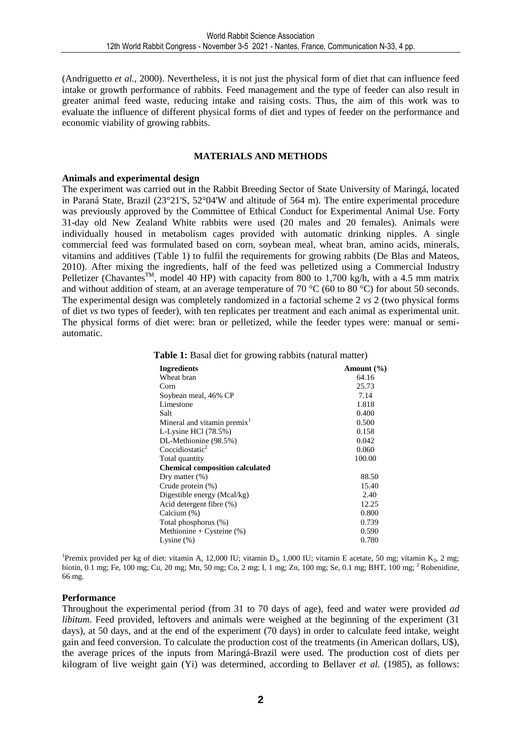(Andriguetto *et al.*, 2000). Nevertheless, it is not just the physical form of diet that can influence feed intake or growth performance of rabbits. Feed management and the type of feeder can also result in greater animal feed waste, reducing intake and raising costs. Thus, the aim of this work was to evaluate the influence of different physical forms of diet and types of feeder on the performance and economic viability of growing rabbits.

#### **MATERIALS AND METHODS**

#### **Animals and experimental design**

The experiment was carried out in the Rabbit Breeding Sector of State University of Maringá, located in Paraná State, Brazil (23°21'S, 52°04'W and altitude of 564 m). The entire experimental procedure was previously approved by the Committee of Ethical Conduct for Experimental Animal Use. Forty 31-day old New Zealand White rabbits were used (20 males and 20 females). Animals were individually housed in metabolism cages provided with automatic drinking nipples. A single commercial feed was formulated based on corn, soybean meal, wheat bran, amino acids, minerals, vitamins and additives (Table 1) to fulfil the requirements for growing rabbits (De Blas and Mateos, 2010). After mixing the ingredients, half of the feed was pelletized using a Commercial Industry Pelletizer (Chavantes<sup>TM</sup>, model 40 HP) with capacity from 800 to 1,700 kg/h, with a 4.5 mm matrix and without addition of steam, at an average temperature of 70 °C (60 to 80 °C) for about 50 seconds. The experimental design was completely randomized in a factorial scheme 2 *vs* 2 (two physical forms of diet *vs* two types of feeder), with ten replicates per treatment and each animal as experimental unit. The physical forms of diet were: bran or pelletized, while the feeder types were: manual or semiautomatic.

| <b>Ingredients</b>                      |  |  | Amount $(\% )$ |
|-----------------------------------------|--|--|----------------|
| Wheat bran                              |  |  | 64.16          |
| Corn                                    |  |  | 25.73          |
| Soybean meal, 46% CP                    |  |  | 7.14           |
| Limestone                               |  |  | 1.818          |
| Salt                                    |  |  | 0.400          |
| Mineral and vitamin premix <sup>1</sup> |  |  | 0.500          |
| L-Lysine HCl $(78.5%)$                  |  |  | 0.158          |
| DL-Methionine (98.5%)                   |  |  | 0.042          |
| Coccidiostatic <sup>2</sup>             |  |  | 0.060          |
| Total quantity                          |  |  | 100.00         |
| <b>Chemical composition calculated</b>  |  |  |                |
| Dry matter $(\%)$                       |  |  | 88.50          |
| Crude protein (%)                       |  |  | 15.40          |
| Digestible energy (Mcal/kg)             |  |  | 2.40           |
| Acid detergent fibre (%)                |  |  | 12.25          |
| Calcium (%)                             |  |  | 0.800          |
| Total phosphorus (%)                    |  |  | 0.739          |
| Methionine + Cysteine $(\%)$            |  |  | 0.590          |
| Lysine $(\%)$                           |  |  | 0.780          |

**Table 1:** Basal diet for growing rabbits (natural matter)

<sup>1</sup>Premix provided per kg of diet: vitamin A, 12,000 IU; vitamin D<sub>3</sub>, 1,000 IU; vitamin E acetate, 50 mg; vitamin K<sub>3</sub>, 2 mg; biotin, 0.1 mg; Fe, 100 mg; Cu, 20 mg; Mn, 50 mg; Co, 2 mg; I, 1 mg; Zn, 100 mg; Se, 0.1 mg; BHT, 100 mg; <sup>2</sup>Robenidine, 66 mg.

#### **Performance**

Throughout the experimental period (from 31 to 70 days of age), feed and water were provided *ad libitum*. Feed provided, leftovers and animals were weighed at the beginning of the experiment (31 days), at 50 days, and at the end of the experiment (70 days) in order to calculate feed intake, weight gain and feed conversion. To calculate the production cost of the treatments (in American dollars, U\$), the average prices of the inputs from Maringá-Brazil were used. The production cost of diets per kilogram of live weight gain (Yi) was determined, according to Bellaver *et al.* (1985), as follows: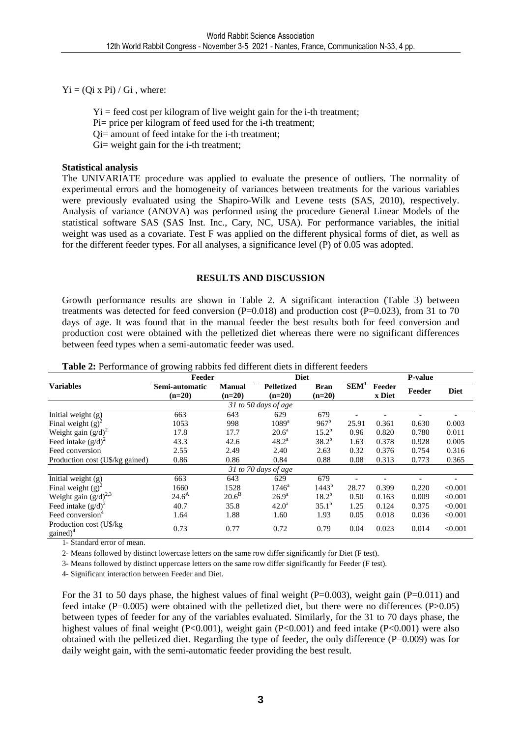$Yi = (Qi x Pi) / Gi$ , where:

 $Y_i$  = feed cost per kilogram of live weight gain for the i-th treatment;

- Pi= price per kilogram of feed used for the i-th treatment;
- Qi= amount of feed intake for the i-th treatment;
- Gi= weight gain for the i-th treatment;

### **Statistical analysis**

The UNIVARIATE procedure was applied to evaluate the presence of outliers. The normality of experimental errors and the homogeneity of variances between treatments for the various variables were previously evaluated using the Shapiro-Wilk and Levene tests (SAS, 2010), respectively. Analysis of variance (ANOVA) was performed using the procedure General Linear Models of the statistical software SAS (SAS Inst. Inc., Cary, NC, USA). For performance variables, the initial weight was used as a covariate. Test F was applied on the different physical forms of diet, as well as for the different feeder types. For all analyses, a significance level (P) of 0.05 was adopted.

### **RESULTS AND DISCUSSION**

Growth performance results are shown in Table 2. A significant interaction (Table 3) between treatments was detected for feed conversion (P=0.018) and production cost (P=0.023), from 31 to 70 days of age. It was found that in the manual feeder the best results both for feed conversion and production cost were obtained with the pelletized diet whereas there were no significant differences between feed types when a semi-automatic feeder was used.

|                                                 | Feeder                     |                           | <b>Diet</b>                   |                         | P-value          |                  |        |             |
|-------------------------------------------------|----------------------------|---------------------------|-------------------------------|-------------------------|------------------|------------------|--------|-------------|
| <b>Variables</b>                                | Semi-automatic<br>$(n=20)$ | <b>Manual</b><br>$(n=20)$ | <b>Pelletized</b><br>$(n=20)$ | <b>Bran</b><br>$(n=20)$ | SEM <sup>1</sup> | Feeder<br>x Diet | Feeder | <b>Diet</b> |
|                                                 |                            |                           | 31 to 50 days of age          |                         |                  |                  |        |             |
| Initial weight (g)                              | 663                        | 643                       | 629                           | 679                     |                  |                  |        |             |
| Final weight $(g)^2$                            | 1053                       | 998                       | $1089$ <sup>a</sup>           | $967^{\rm b}$           | 25.91            | 0.361            | 0.630  | 0.003       |
| Weight gain $(g/d)^2$                           | 17.8                       | 17.7                      | $20.6^{\circ}$                | $15.2^{b}$              | 0.96             | 0.820            | 0.780  | 0.011       |
| Feed intake $(g/d)^2$                           | 43.3                       | 42.6                      | $48.2^{\rm a}$                | $38.2^{b}$              | 1.63             | 0.378            | 0.928  | 0.005       |
| Feed conversion                                 | 2.55                       | 2.49                      | 2.40                          | 2.63                    | 0.32             | 0.376            | 0.754  | 0.316       |
| Production cost (U\$/kg gained)                 | 0.86                       | 0.86                      | 0.84                          | 0.88                    | 0.08             | 0.313            | 0.773  | 0.365       |
|                                                 |                            |                           | 31 to 70 days of age          |                         |                  |                  |        |             |
| Initial weight (g)                              | 663                        | 643                       | 629                           | 679                     |                  |                  |        |             |
| Final weight $(g)^2$                            | 1660                       | 1528                      | $1746^{\circ}$                | $1443^{b}$              | 28.77            | 0.399            | 0.220  | < 0.001     |
| Weight gain $(g/d)^{2,3}$                       | $24.6^{\rm A}$             | 20.6 <sup>B</sup>         | $26.9^{\rm a}$                | $18.2^{b}$              | 0.50             | 0.163            | 0.009  | < 0.001     |
| Feed intake $(g/d)^2$                           | 40.7                       | 35.8                      | $42.0^{\rm a}$                | $35.1^{b}$              | 1.25             | 0.124            | 0.375  | < 0.001     |
| Feed conversion <sup>4</sup>                    | 1.64                       | 1.88                      | 1.60                          | 1.93                    | 0.05             | 0.018            | 0.036  | < 0.001     |
| Production cost (U\$/kg<br>gained) <sup>4</sup> | 0.73                       | 0.77                      | 0.72                          | 0.79                    | 0.04             | 0.023            | 0.014  | < 0.001     |

**Table 2:** Performance of growing rabbits fed different diets in different feeders

1- Standard error of mean.

2- Means followed by distinct lowercase letters on the same row differ significantly for Diet (F test).

3- Means followed by distinct uppercase letters on the same row differ significantly for Feeder (F test).

4- Significant interaction between Feeder and Diet.

For the 31 to 50 days phase, the highest values of final weight (P=0.003), weight gain (P=0.011) and feed intake (P=0.005) were obtained with the pelletized diet, but there were no differences (P>0.05) between types of feeder for any of the variables evaluated. Similarly, for the 31 to 70 days phase, the highest values of final weight (P<0.001), weight gain (P<0.001) and feed intake (P<0.001) were also obtained with the pelletized diet. Regarding the type of feeder, the only difference  $(P=0.009)$  was for daily weight gain, with the semi-automatic feeder providing the best result.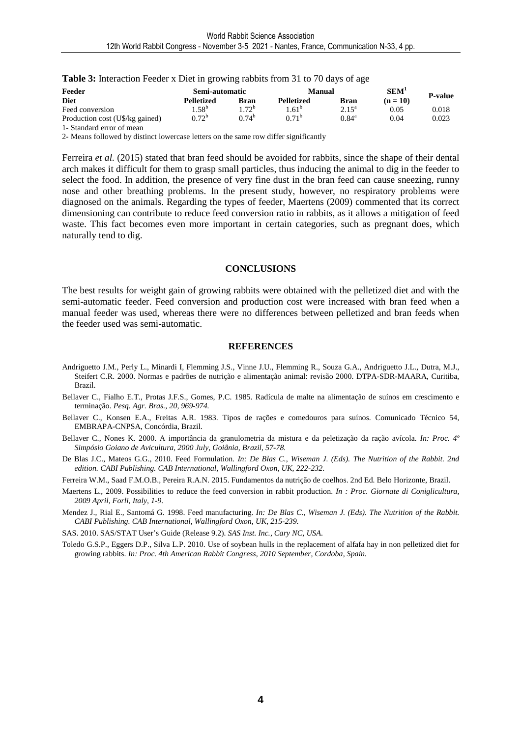| Feeder                          | Semi-automatic   |            | Manual            |                | <b>SEM</b> |                |
|---------------------------------|------------------|------------|-------------------|----------------|------------|----------------|
| <b>Diet</b>                     | Pelletized       | Bran       | Pelletized        | <b>Bran</b>    | $(n = 10)$ | <b>P-value</b> |
| Feed conversion                 | .58 <sup>b</sup> | $72^b$     | .61 <sup>b</sup>  | $2.15^{\rm a}$ | 0.05       | 0.018          |
| Production cost (U\$/kg gained) | $0.72^{\rm b}$   | $0.74^{b}$ | 0.71 <sup>b</sup> | $0.84^{\rm a}$ | 0.04       | 0.023          |
| 1 Standard arror of maan        |                  |            |                   |                |            |                |

**Table 3:** Interaction Feeder x Diet in growing rabbits from 31 to 70 days of age

- Standard error of mean

2- Means followed by distinct lowercase letters on the same row differ significantly

Ferreira *et al.* (2015) stated that bran feed should be avoided for rabbits, since the shape of their dental arch makes it difficult for them to grasp small particles, thus inducing the animal to dig in the feeder to select the food. In addition, the presence of very fine dust in the bran feed can cause sneezing, runny nose and other breathing problems. In the present study, however, no respiratory problems were diagnosed on the animals. Regarding the types of feeder, Maertens (2009) commented that its correct dimensioning can contribute to reduce feed conversion ratio in rabbits, as it allows a mitigation of feed waste. This fact becomes even more important in certain categories, such as pregnant does, which naturally tend to dig.

#### **CONCLUSIONS**

The best results for weight gain of growing rabbits were obtained with the pelletized diet and with the semi-automatic feeder. Feed conversion and production cost were increased with bran feed when a manual feeder was used, whereas there were no differences between pelletized and bran feeds when the feeder used was semi-automatic.

#### **REFERENCES**

- Andriguetto J.M., Perly L., Minardi I, Flemming J.S., Vinne J.U., Flemming R., Souza G.A., Andriguetto J.L., Dutra, M.J., Steifert C.R. 2000. Normas e padrões de nutrição e alimentação animal: revisão 2000. DTPA-SDR-MAARA, Curitiba, Brazil.
- Bellaver C., Fialho E.T., Protas J.F.S., Gomes, P.C. 1985. Radícula de malte na alimentação de suínos em crescimento e terminação. *Pesq. Agr. Bras., 20, 969-974.*
- Bellaver C., Konsen E.A., Freitas A.R. 1983. Tipos de rações e comedouros para suínos. Comunicado Técnico 54, EMBRAPA-CNPSA, Concórdia, Brazil.
- Bellaver C., Nones K. 2000. A importância da granulometria da mistura e da peletização da ração avícola. *In: Proc. 4º Simpósio Goiano de Avicultura, 2000 July, Goiânia, Brazil, 57-78.*
- De Blas J.C., Mateos G.G., 2010. Feed Formulation*. In: De Blas C., Wiseman J. (Eds). The Nutrition of the Rabbit. 2nd edition. CABI Publishing. CAB International, Wallingford Oxon, UK, 222-232*.
- Ferreira W.M., Saad F.M.O.B., Pereira R.A.N. 2015. Fundamentos da nutrição de coelhos. 2nd Ed. Belo Horizonte, Brazil.
- Maertens L., 2009. Possibilities to reduce the feed conversion in rabbit production. *In : Proc. Giornate di Coniglicultura, 2009 April, Forli, Italy, 1-9.*

Mendez J., Rial E., Santomá G. 1998. Feed manufacturing. *In: De Blas C., Wiseman J. (Eds). The Nutrition of the Rabbit. CABI Publishing. CAB International, Wallingford Oxon, UK, 215-239*.

SAS. 2010. SAS/STAT User's Guide (Release 9.2). *SAS Inst. Inc., Cary NC, USA*.

Toledo G.S.P., Eggers D.P., Silva L.P. 2010. Use of soybean hulls in the replacement of alfafa hay in non pelletized diet for growing rabbits. *In: Proc. 4th American Rabbit Congress, 2010 September, Cordoba, Spain.*